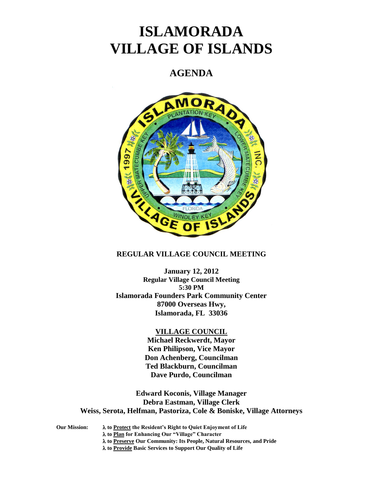# **ISLAMORADA VILLAGE OF ISLANDS**

# **AGENDA**



#### **REGULAR VILLAGE COUNCIL MEETING**

**January 12, 2012 Regular Village Council Meeting 5:30 PM Islamorada Founders Park Community Center 87000 Overseas Hwy, Islamorada, FL 33036**

#### **VILLAGE COUNCIL**

**Michael Reckwerdt, Mayor Ken Philipson, Vice Mayor Don Achenberg, Councilman Ted Blackburn, Councilman Dave Purdo, Councilman**

**Edward Koconis, Village Manager Debra Eastman, Village Clerk Weiss, Serota, Helfman, Pastoriza, Cole & Boniske, Village Attorneys**

**Our Mission: to Protect the Resident's Right to Quiet Enjoyment of Life to Plan for Enhancing Our "Village" Character to Preserve Our Community: Its People, Natural Resources, and Pride to Provide Basic Services to Support Our Quality of Life**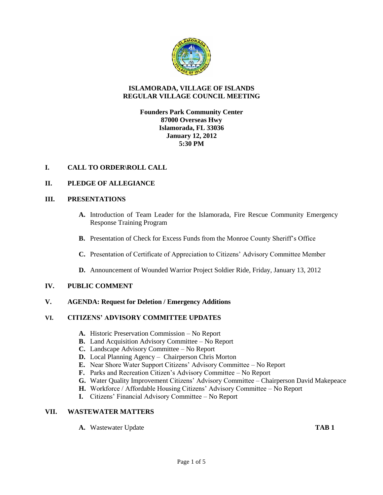

# **ISLAMORADA, VILLAGE OF ISLANDS REGULAR VILLAGE COUNCIL MEETING**

**Founders Park Community Center 87000 Overseas Hwy Islamorada, FL 33036 January 12, 2012 5:30 PM**

# **I. CALL TO ORDER\ROLL CALL**

# **II. PLEDGE OF ALLEGIANCE**

# **III. PRESENTATIONS**

- **A.** Introduction of Team Leader for the Islamorada, Fire Rescue Community Emergency Response Training Program
- **B.** Presentation of Check for Excess Funds from the Monroe County Sheriff's Office
- **C.** Presentation of Certificate of Appreciation to Citizens' Advisory Committee Member
- **D.** Announcement of Wounded Warrior Project Soldier Ride, Friday, January 13, 2012

#### **IV. PUBLIC COMMENT**

#### **V. AGENDA: Request for Deletion / Emergency Additions**

#### **VI. CITIZENS' ADVISORY COMMITTEE UPDATES**

- **A.** Historic Preservation Commission No Report
- **B.** Land Acquisition Advisory Committee No Report
- **C.** Landscape Advisory Committee No Report
- **D.** Local Planning Agency Chairperson Chris Morton
- **E.** Near Shore Water Support Citizens' Advisory Committee No Report
- **F.** Parks and Recreation Citizen's Advisory Committee No Report
- **G.** Water Quality Improvement Citizens' Advisory Committee Chairperson David Makepeace
- **H.** Workforce / Affordable Housing Citizens' Advisory Committee No Report
- **I.** Citizens' Financial Advisory Committee No Report

#### **VII. WASTEWATER MATTERS**

**A.** Wastewater Update **TAB 1**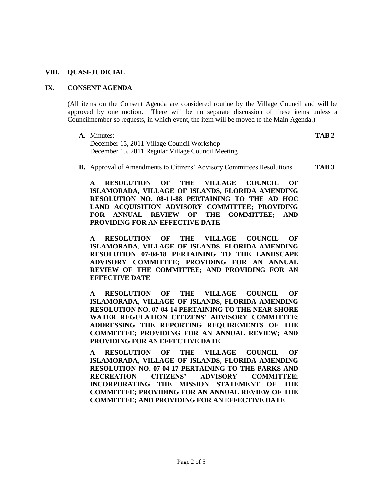#### **VIII. QUASI-JUDICIAL**

#### **IX. CONSENT AGENDA**

(All items on the Consent Agenda are considered routine by the Village Council and will be approved by one motion. There will be no separate discussion of these items unless a Councilmember so requests, in which event, the item will be moved to the Main Agenda.)

- **A.** Minutes: **TAB 2** December 15, 2011 Village Council Workshop December 15, 2011 Regular Village Council Meeting
	-
- **B.** Approval of Amendments to Citizens' Advisory Committees Resolutions **TAB 3**

**A RESOLUTION OF THE VILLAGE COUNCIL OF ISLAMORADA, VILLAGE OF ISLANDS, FLORIDA AMENDING RESOLUTION NO. 08-11-88 PERTAINING TO THE AD HOC LAND ACQUISITION ADVISORY COMMITTEE; PROVIDING FOR ANNUAL REVIEW OF THE COMMITTEE; AND PROVIDING FOR AN EFFECTIVE DATE**

**A RESOLUTION OF THE VILLAGE COUNCIL OF ISLAMORADA, VILLAGE OF ISLANDS, FLORIDA AMENDING RESOLUTION 07-04-18 PERTAINING TO THE LANDSCAPE ADVISORY COMMITTEE; PROVIDING FOR AN ANNUAL REVIEW OF THE COMMITTEE; AND PROVIDING FOR AN EFFECTIVE DATE**

**A RESOLUTION OF THE VILLAGE COUNCIL OF ISLAMORADA, VILLAGE OF ISLANDS, FLORIDA AMENDING RESOLUTION NO. 07-04-14 PERTAINING TO THE NEAR SHORE WATER REGULATION CITIZENS' ADVISORY COMMITTEE; ADDRESSING THE REPORTING REQUIREMENTS OF THE COMMITTEE; PROVIDING FOR AN ANNUAL REVIEW; AND PROVIDING FOR AN EFFECTIVE DATE**

**A RESOLUTION OF THE VILLAGE COUNCIL OF ISLAMORADA, VILLAGE OF ISLANDS, FLORIDA AMENDING RESOLUTION NO. 07-04-17 PERTAINING TO THE PARKS AND RECREATION CITIZENS' ADVISORY COMMITTEE; INCORPORATING THE MISSION STATEMENT OF THE COMMITTEE; PROVIDING FOR AN ANNUAL REVIEW OF THE COMMITTEE; AND PROVIDING FOR AN EFFECTIVE DATE**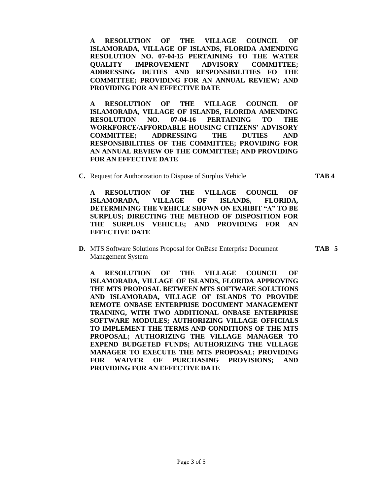**A RESOLUTION OF THE VILLAGE COUNCIL OF ISLAMORADA, VILLAGE OF ISLANDS, FLORIDA AMENDING RESOLUTION NO. 07-04-15 PERTAINING TO THE WATER QUALITY IMPROVEMENT ADVISORY COMMITTEE; ADDRESSING DUTIES AND RESPONSIBILITIES FO THE COMMITTEE; PROVIDING FOR AN ANNUAL REVIEW; AND PROVIDING FOR AN EFFECTIVE DATE**

**A RESOLUTION OF THE VILLAGE COUNCIL OF ISLAMORADA, VILLAGE OF ISLANDS, FLORIDA AMENDING RESOLUTION NO. 07-04-16 PERTAINING TO THE WORKFORCE/AFFORDABLE HOUSING CITIZENS' ADVISORY COMMITTEE; ADDRESSING THE DUTIES AND RESPONSIBILITIES OF THE COMMITTEE; PROVIDING FOR AN ANNUAL REVIEW OF THE COMMITTEE; AND PROVIDING FOR AN EFFECTIVE DATE**

**C.** Request for Authorization to Dispose of Surplus Vehicle **TAB 4**

**A RESOLUTION OF THE VILLAGE COUNCIL OF ISLAMORADA, VILLAGE OF ISLANDS, FLORIDA, DETERMINING THE VEHICLE SHOWN ON EXHIBIT "A" TO BE SURPLUS; DIRECTING THE METHOD OF DISPOSITION FOR THE SURPLUS VEHICLE; AND PROVIDING FOR AN EFFECTIVE DATE**

**D.** MTS Software Solutions Proposal for OnBase Enterprise Document **TAB 5** Management System

**A RESOLUTION OF THE VILLAGE COUNCIL OF ISLAMORADA, VILLAGE OF ISLANDS, FLORIDA APPROVING THE MTS PROPOSAL BETWEEN MTS SOFTWARE SOLUTIONS AND ISLAMORADA, VILLAGE OF ISLANDS TO PROVIDE REMOTE ONBASE ENTERPRISE DOCUMENT MANAGEMENT TRAINING, WITH TWO ADDITIONAL ONBASE ENTERPRISE SOFTWARE MODULES; AUTHORIZING VILLAGE OFFICIALS TO IMPLEMENT THE TERMS AND CONDITIONS OF THE MTS PROPOSAL; AUTHORIZING THE VILLAGE MANAGER TO EXPEND BUDGETED FUNDS; AUTHORIZING THE VILLAGE MANAGER TO EXECUTE THE MTS PROPOSAL; PROVIDING FOR WAIVER OF PURCHASING PROVISIONS; AND PROVIDING FOR AN EFFECTIVE DATE**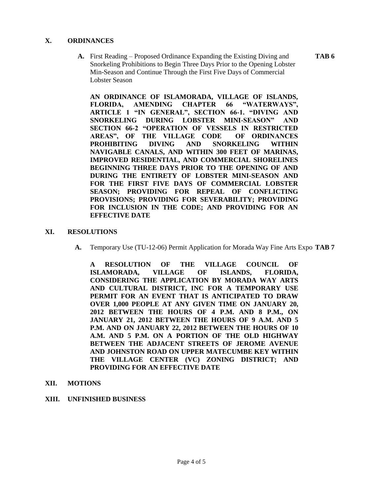#### **X. ORDINANCES**

**A.** First Reading – Proposed Ordinance Expanding the Existing Diving and **TAB 6** Snorkeling Prohibitions to Begin Three Days Prior to the Opening Lobster Min-Season and Continue Through the First Five Days of Commercial Lobster Season

**AN ORDINANCE OF ISLAMORADA, VILLAGE OF ISLANDS, FLORIDA, AMENDING CHAPTER 66 "WATERWAYS", ARTICLE 1 "IN GENERAL", SECTION 66-1. "DIVING AND SNORKELING DURING LOBSTER MINI-SEASON" AND SECTION 66-2 "OPERATION OF VESSELS IN RESTRICTED AREAS", OF THE VILLAGE CODE OF ORDINANCES PROHIBITING DIVING AND SNORKELING WITHIN NAVIGABLE CANALS, AND WITHIN 300 FEET OF MARINAS, IMPROVED RESIDENTIAL, AND COMMERCIAL SHORELINES BEGINNING THREE DAYS PRIOR TO THE OPENING OF AND DURING THE ENTIRETY OF LOBSTER MINI-SEASON AND FOR THE FIRST FIVE DAYS OF COMMERCIAL LOBSTER SEASON; PROVIDING FOR REPEAL OF CONFLICTING PROVISIONS; PROVIDING FOR SEVERABILITY; PROVIDING FOR INCLUSION IN THE CODE; AND PROVIDING FOR AN EFFECTIVE DATE**

#### **XI. RESOLUTIONS**

**A.** Temporary Use (TU-12-06) Permit Application for Morada Way Fine Arts Expo **TAB 7**

**A RESOLUTION OF THE VILLAGE COUNCIL OF ISLAMORADA, VILLAGE OF ISLANDS, FLORIDA, CONSIDERING THE APPLICATION BY MORADA WAY ARTS AND CULTURAL DISTRICT, INC FOR A TEMPORARY USE PERMIT FOR AN EVENT THAT IS ANTICIPATED TO DRAW OVER 1,000 PEOPLE AT ANY GIVEN TIME ON JANUARY 20, 2012 BETWEEN THE HOURS OF 4 P.M. AND 8 P.M., ON JANUARY 21, 2012 BETWEEN THE HOURS OF 9 A.M. AND 5 P.M. AND ON JANUARY 22, 2012 BETWEEN THE HOURS OF 10 A.M. AND 5 P.M. ON A PORTION OF THE OLD HIGHWAY BETWEEN THE ADJACENT STREETS OF JEROME AVENUE AND JOHNSTON ROAD ON UPPER MATECUMBE KEY WITHIN THE VILLAGE CENTER (VC) ZONING DISTRICT; AND PROVIDING FOR AN EFFECTIVE DATE**

# **XII. MOTIONS**

#### **XIII. UNFINISHED BUSINESS**